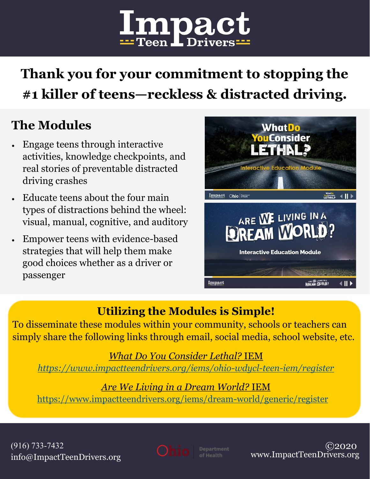

# **Thank you for your commitment to stopping the #1 killer of teens—reckless & distracted driving.**

# **The Modules**

- Engage teens through interactive activities, knowledge checkpoints, and real stories of preventable distracted driving crashes
- Educate teens about the four main types of distractions behind the wheel: visual, manual, cognitive, and auditory
- Empower teens with evidence-based strategies that will help them make good choices whether as a driver or passenger



## **Utilizing the Modules is Simple!**

To disseminate these modules within your community, schools or teachers can simply share the following links through email, social media, school website, etc.

*What Do You Consider Lethal?* IEM *[https://www.impactteendrivers.org/iems/ohio](https://www.impactteendrivers.org/iems/ohio-wdycl-teen-iem/register)-wdycl-teen-iem/register*

#### *Are We Living in a Dream World?* IEM

[https://www.impactteendrivers.org/iems/dream](https://www.impactteendrivers.org/iems/dream-world/generic/register)-world/generic/register





 ©2020 www.ImpactTeenDrivers.org